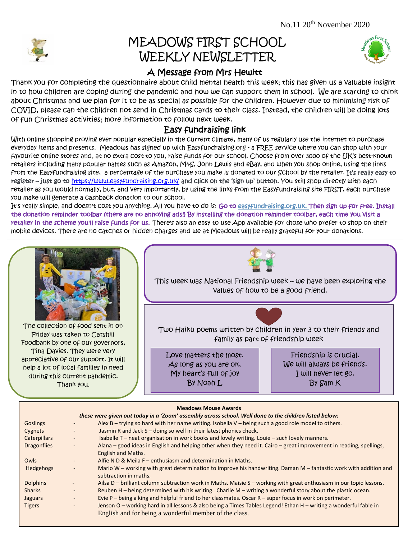

## MEADOWS FIRST SCHOOL WEEKLY NEWSLETTER



## A Message from Mrs Hewitt

apout Crinstinas and we plan for it to be as special as possible for the children. However due to minimising nsw of<br>COVID, please can the children not send in Christmas cards to their class. Instead, the children will be d Thank you for completing the questionnaire about child mental health this week; this has given us a valuable insight in to how children are coping during the pandemic and how we can support them in school. We are starting to think about Christmas and we plan for it to be as special as possible for the children. However due to minimising risk of of fun Christmas activities; more information to follow next week.

## Easy fundraising link

 favourite online stores and, at no extra cost to you, raise funds for our school. Choose from over 3000 of the UK's best-known With online shopping proving ever popular especially in the current climate, many of us regularly use the internet to purchase everyday items and presents. Meadows has signed up with Easyfundraising.org - a FREE service where you can shop with your retailers including many popular names such as Amazon, M+S, John Lewis and eBay, and when you shop online, using the links from the Easyfundraising site, a percentage of the purchase you make is donated to our School by the retailer. It's really easy to register – just go t[o https://www.easyfundraising.org.uk/](https://www.easyfundraising.org.uk/) and click on the 'sign up' button. You still shop directly with each retailer as you would normally, but, and very importantly, by using the links from the Easyfundraising site FIRST, each purchase you make will generate a cashback donation to our school.

It's really simple, and doesn't cost you anything. All you have to do is: Go to [easyfundraising.org.uk.](http://http/www.easyfundraising.org.uk/causes/thefriendsofgreggschool) Then sign up for free. Install the donation reminder toolbar (there are no annoying ads!) By installing the donation reminder toolbar, each time you visit a retailer in the scheme you'll raise funds for us. There's also an easy to use App available for those who prefer to shop on their mobile devices. There are no catches or hidden charges and we at Meadows will be really grateful for your donations.



| <b>Goslings</b>    |                          | Alex B – trying so hard with her name writing. Isobella V – being such a good role model to others.                  |
|--------------------|--------------------------|----------------------------------------------------------------------------------------------------------------------|
| Cygnets            | $\overline{\phantom{a}}$ | Jasmin R and Jack S - doing so well in their latest phonics check.                                                   |
| Caterpillars       |                          | Isabelle T – neat organisation in work books and lovely writing. Louie – such lovely manners.                        |
| <b>Dragonflies</b> | ۰.                       | Alana – good ideas in English and helping other when they need it. Cairo – great improvement in reading, spellings,  |
|                    |                          | <b>English and Maths.</b>                                                                                            |
| Owls               | ٠                        | Alfie N D & Meila F - enthusiasm and determination in Maths.                                                         |
| Hedgehogs          | $\overline{\phantom{a}}$ | Mario W – working with great determination to improve his handwriting. Daman M – fantastic work with addition and    |
|                    |                          | subtraction in maths.                                                                                                |
| <b>Dolphins</b>    |                          | Ailsa D – brilliant column subtraction work in Maths. Maisie S – working with great enthusiasm in our topic lessons. |
| <b>Sharks</b>      | -                        | Reuben H – being determined with his writing. Charlie M – writing a wonderful story about the plastic ocean.         |
| <b>Jaguars</b>     |                          | Evie P - being a king and helpful friend to her classmates. Oscar R - super focus in work on perimeter.              |
| <b>Tigers</b>      | -                        | Jenson O – working hard in all lessons & also being a Times Tables Legend! Ethan H – writing a wonderful fable in    |
|                    |                          | English and for being a wonderful member of the class.                                                               |